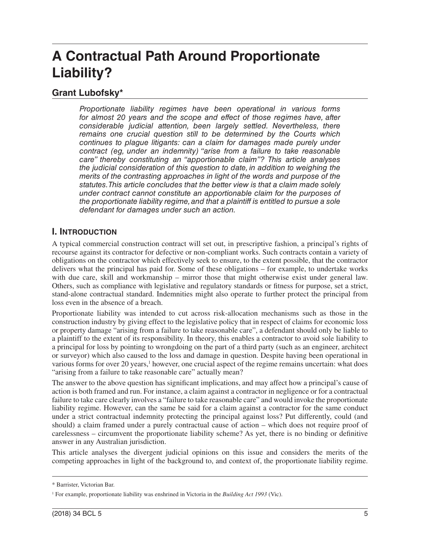# **A Contractual Path Around Proportionate Liability?**

# **Grant Lubofsky\***

*Proportionate liability regimes have been operational in various forms for almost 20 years and the scope and effect of those regimes have, after considerable judicial attention, been largely settled. Nevertheless, there remains one crucial question still to be determined by the Courts which continues to plague litigants: can a claim for damages made purely under contract (eg, under an indemnity) "arise from a failure to take reasonable care" thereby constituting an "apportionable claim"? This article analyses the judicial consideration of this question to date, in addition to weighing the merits of the contrasting approaches in light of the words and purpose of the statutes. This article concludes that the better view is that a claim made solely under contract cannot constitute an apportionable claim for the purposes of the proportionate liability regime, and that a plaintiff is entitled to pursue a sole defendant for damages under such an action.*

# **I. INTRODUCTION**

A typical commercial construction contract will set out, in prescriptive fashion, a principal's rights of recourse against its contractor for defective or non-compliant works. Such contracts contain a variety of obligations on the contractor which effectively seek to ensure, to the extent possible, that the contractor delivers what the principal has paid for. Some of these obligations – for example, to undertake works with due care, skill and workmanship – mirror those that might otherwise exist under general law. Others, such as compliance with legislative and regulatory standards or fitness for purpose, set a strict, stand-alone contractual standard. Indemnities might also operate to further protect the principal from loss even in the absence of a breach.

Proportionate liability was intended to cut across risk-allocation mechanisms such as those in the construction industry by giving effect to the legislative policy that in respect of claims for economic loss or property damage "arising from a failure to take reasonable care", a defendant should only be liable to a plaintiff to the extent of its responsibility. In theory, this enables a contractor to avoid sole liability to a principal for loss by pointing to wrongdoing on the part of a third party (such as an engineer, architect or surveyor) which also caused to the loss and damage in question. Despite having been operational in various forms for over 20 years,<sup>1</sup> however, one crucial aspect of the regime remains uncertain: what does "arising from a failure to take reasonable care" actually mean?

The answer to the above question has significant implications, and may affect how a principal's cause of action is both framed and run. For instance, a claim against a contractor in negligence or for a contractual failure to take care clearly involves a "failure to take reasonable care" and would invoke the proportionate liability regime. However, can the same be said for a claim against a contractor for the same conduct under a strict contractual indemnity protecting the principal against loss? Put differently, could (and should) a claim framed under a purely contractual cause of action – which does not require proof of carelessness – circumvent the proportionate liability scheme? As yet, there is no binding or definitive answer in any Australian jurisdiction.

This article analyses the divergent judicial opinions on this issue and considers the merits of the competing approaches in light of the background to, and context of, the proportionate liability regime.

<sup>\*</sup> Barrister, Victorian Bar.

<sup>1</sup> For example, proportionate liability was enshrined in Victoria in the *Building Act 1993* (Vic).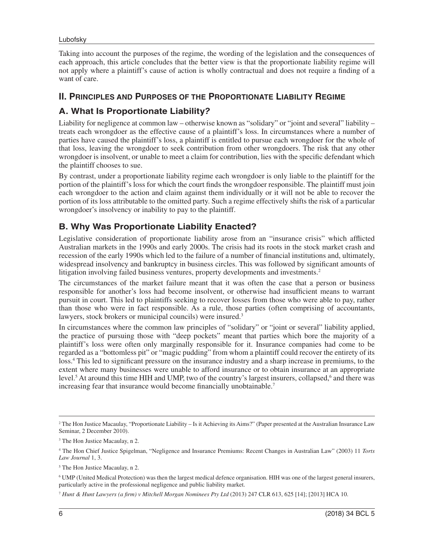Taking into account the purposes of the regime, the wording of the legislation and the consequences of each approach, this article concludes that the better view is that the proportionate liability regime will not apply where a plaintiff's cause of action is wholly contractual and does not require a finding of a want of care.

#### **II. PRINCIPLES AND PURPOSES OF THE PROPORTIONATE LIABILITY REGIME**

# **A. What Is Proportionate Liability***?*

Liability for negligence at common law – otherwise known as "solidary" or "joint and several" liability – treats each wrongdoer as the effective cause of a plaintiff's loss. In circumstances where a number of parties have caused the plaintiff's loss, a plaintiff is entitled to pursue each wrongdoer for the whole of that loss, leaving the wrongdoer to seek contribution from other wrongdoers. The risk that any other wrongdoer is insolvent, or unable to meet a claim for contribution, lies with the specific defendant which the plaintiff chooses to sue.

By contrast, under a proportionate liability regime each wrongdoer is only liable to the plaintiff for the portion of the plaintiff's loss for which the court finds the wrongdoer responsible. The plaintiff must join each wrongdoer to the action and claim against them individually or it will not be able to recover the portion of its loss attributable to the omitted party. Such a regime effectively shifts the risk of a particular wrongdoer's insolvency or inability to pay to the plaintiff.

# **B. Why Was Proportionate Liability Enacted?**

Legislative consideration of proportionate liability arose from an "insurance crisis" which afflicted Australian markets in the 1990s and early 2000s. The crisis had its roots in the stock market crash and recession of the early 1990s which led to the failure of a number of financial institutions and, ultimately, widespread insolvency and bankruptcy in business circles. This was followed by significant amounts of litigation involving failed business ventures, property developments and investments.<sup>2</sup>

The circumstances of the market failure meant that it was often the case that a person or business responsible for another's loss had become insolvent, or otherwise had insufficient means to warrant pursuit in court. This led to plaintiffs seeking to recover losses from those who were able to pay, rather than those who were in fact responsible. As a rule, those parties (often comprising of accountants, lawyers, stock brokers or municipal councils) were insured.<sup>3</sup>

In circumstances where the common law principles of "solidary" or "joint or several" liability applied, the practice of pursuing those with "deep pockets" meant that parties which bore the majority of a plaintiff's loss were often only marginally responsible for it. Insurance companies had come to be regarded as a "bottomless pit" or "magic pudding" from whom a plaintiff could recover the entirety of its loss.4 This led to significant pressure on the insurance industry and a sharp increase in premiums, to the extent where many businesses were unable to afford insurance or to obtain insurance at an appropriate level.<sup>5</sup> At around this time HIH and UMP, two of the country's largest insurers, collapsed,<sup>6</sup> and there was increasing fear that insurance would become financially unobtainable.<sup>7</sup>

<sup>2</sup> The Hon Justice Macaulay, "Proportionate Liability – Is it Achieving its Aims?" (Paper presented at the Australian Insurance Law Seminar, 2 December 2010).

<sup>3</sup> The Hon Justice Macaulay, n 2.

<sup>4</sup> The Hon Chief Justice Spigelman, "Negligence and Insurance Premiums: Recent Changes in Australian Law" (2003) 11 *Torts Law Journal* 1, 3.

<sup>&</sup>lt;sup>5</sup> The Hon Justice Macaulay, n 2.

<sup>6</sup> UMP (United Medical Protection) was then the largest medical defence organisation. HIH was one of the largest general insurers, particularly active in the professional negligence and public liability market.

<sup>7</sup> *Hunt & Hunt Lawyers (a firm) v Mitchell Morgan Nominees Pty Ltd* (2013) 247 CLR 613, 625 [14]; [2013] HCA 10.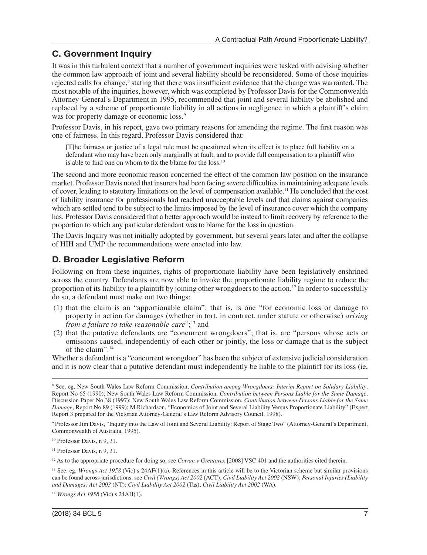### **C. Government Inquiry**

It was in this turbulent context that a number of government inquiries were tasked with advising whether the common law approach of joint and several liability should be reconsidered. Some of those inquiries rejected calls for change,<sup>8</sup> stating that there was insufficient evidence that the change was warranted. The most notable of the inquiries, however, which was completed by Professor Davis for the Commonwealth Attorney-General's Department in 1995, recommended that joint and several liability be abolished and replaced by a scheme of proportionate liability in all actions in negligence in which a plaintiff's claim was for property damage or economic loss.<sup>9</sup>

Professor Davis, in his report, gave two primary reasons for amending the regime. The first reason was one of fairness. In this regard, Professor Davis considered that:

[T]he fairness or justice of a legal rule must be questioned when its effect is to place full liability on a defendant who may have been only marginally at fault, and to provide full compensation to a plaintiff who is able to find one on whom to fix the blame for the loss.<sup>10</sup>

The second and more economic reason concerned the effect of the common law position on the insurance market. Professor Davis noted that insurers had been facing severe difficulties in maintaining adequate levels of cover, leading to statutory limitations on the level of compensation available.11 He concluded that the cost of liability insurance for professionals had reached unacceptable levels and that claims against companies which are settled tend to be subject to the limits imposed by the level of insurance cover which the company has. Professor Davis considered that a better approach would be instead to limit recovery by reference to the proportion to which any particular defendant was to blame for the loss in question.

The Davis Inquiry was not initially adopted by government, but several years later and after the collapse of HIH and UMP the recommendations were enacted into law.

#### **D. Broader Legislative Reform**

Following on from these inquiries, rights of proportionate liability have been legislatively enshrined across the country. Defendants are now able to invoke the proportionate liability regime to reduce the proportion of its liability to a plaintiff by joining other wrongdoers to the action.12 In order to successfully do so, a defendant must make out two things:

- (1) that the claim is an "apportionable claim"; that is, is one "for economic loss or damage to property in action for damages (whether in tort, in contract, under statute or otherwise) *arising from a failure to take reasonable care*";13 and
- (2) that the putative defendants are "concurrent wrongdoers"; that is, are "persons whose acts or omissions caused, independently of each other or jointly, the loss or damage that is the subject of the claim".14

Whether a defendant is a "concurrent wrongdoer" has been the subject of extensive judicial consideration and it is now clear that a putative defendant must independently be liable to the plaintiff for its loss (ie,

<sup>8</sup> See, eg, New South Wales Law Reform Commission, *Contribution among Wrongdoers: Interim Report on Solidary Liability*, Report No 65 (1990); New South Wales Law Reform Commission, *Contribution between Persons Liable for the Same Damage*, Discussion Paper No 38 (1997); New South Wales Law Reform Commission, *Contribution between Persons Liable for the Same Damage*, Report No 89 (1999); M Richardson, "Economics of Joint and Several Liability Versus Proportionate Liability" (Expert Report 3 prepared for the Victorian Attorney-General's Law Reform Advisory Council, 1998).

<sup>9</sup> Professor Jim Davis, "Inquiry into the Law of Joint and Several Liability: Report of Stage Two" (Attorney-General's Department, Commonwealth of Australia, 1995).

<sup>10</sup> Professor Davis, n 9, 31.

<sup>&</sup>lt;sup>11</sup> Professor Davis, n 9, 31.

<sup>&</sup>lt;sup>12</sup> As to the appropriate procedure for doing so, see *Cowan v Greatorex* [2008] VSC 401 and the authorities cited therein.

<sup>13</sup> See, eg, *Wrongs Act 1958* (Vic) s 24AF(1)(a). References in this article will be to the Victorian scheme but similar provisions can be found across jurisdictions: see *Civil (Wrongs) Act 2002* (ACT); *Civil Liability Act 2002* (NSW); *Personal Injuries (Liability and Damages) Act 2003* (NT); *Civil Liability Act 2002* (Tas); *Civil Liability Act 2002* (WA).

<sup>14</sup> *Wrongs Act 1958* (Vic) s 24AH(1).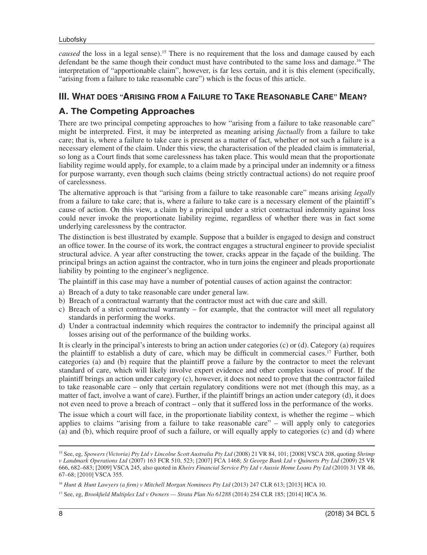*caused* the loss in a legal sense).15 There is no requirement that the loss and damage caused by each defendant be the same though their conduct must have contributed to the same loss and damage.<sup>16</sup> The interpretation of "apportionable claim", however, is far less certain, and it is this element (specifically, "arising from a failure to take reasonable care") which is the focus of this article.

#### **III. WHAT DOES "ARISING FROM A FAILURE TO TAKE REASONABLE CARE" MEAN?**

### **A. The Competing Approaches**

There are two principal competing approaches to how "arising from a failure to take reasonable care" might be interpreted. First, it may be interpreted as meaning arising *factually* from a failure to take care; that is, where a failure to take care is present as a matter of fact, whether or not such a failure is a necessary element of the claim. Under this view, the characterisation of the pleaded claim is immaterial, so long as a Court finds that some carelessness has taken place. This would mean that the proportionate liability regime would apply, for example, to a claim made by a principal under an indemnity or a fitness for purpose warranty, even though such claims (being strictly contractual actions) do not require proof of carelessness.

The alternative approach is that "arising from a failure to take reasonable care" means arising *legally* from a failure to take care; that is, where a failure to take care is a necessary element of the plaintiff's cause of action. On this view, a claim by a principal under a strict contractual indemnity against loss could never invoke the proportionate liability regime, regardless of whether there was in fact some underlying carelessness by the contractor.

The distinction is best illustrated by example. Suppose that a builder is engaged to design and construct an office tower. In the course of its work, the contract engages a structural engineer to provide specialist structural advice. A year after constructing the tower, cracks appear in the façade of the building. The principal brings an action against the contractor, who in turn joins the engineer and pleads proportionate liability by pointing to the engineer's negligence.

The plaintiff in this case may have a number of potential causes of action against the contractor:

- a) Breach of a duty to take reasonable care under general law.
- b) Breach of a contractual warranty that the contractor must act with due care and skill.
- c) Breach of a strict contractual warranty for example, that the contractor will meet all regulatory standards in performing the works.
- d) Under a contractual indemnity which requires the contractor to indemnify the principal against all losses arising out of the performance of the building works.

It is clearly in the principal's interests to bring an action under categories (c) or (d). Category (a) requires the plaintiff to establish a duty of care, which may be difficult in commercial cases.17 Further, both categories (a) and (b) require that the plaintiff prove a failure by the contractor to meet the relevant standard of care, which will likely involve expert evidence and other complex issues of proof. If the plaintiff brings an action under category (c), however, it does not need to prove that the contractor failed to take reasonable care – only that certain regulatory conditions were not met (though this may, as a matter of fact, involve a want of care). Further, if the plaintiff brings an action under category (d), it does not even need to prove a breach of contract – only that it suffered loss in the performance of the works.

The issue which a court will face, in the proportionate liability context, is whether the regime – which applies to claims "arising from a failure to take reasonable care" – will apply only to categories (a) and (b), which require proof of such a failure, or will equally apply to categories (c) and (d) where

<sup>15</sup> See, eg, *Spowers (Victoria) Pty Ltd v Lincolne Scott Australia Pty Ltd* (2008) 21 VR 84, 101; [2008] VSCA 208, quoting *Shrimp v Landmark Operations Ltd* (2007) 163 FCR 510, 523; [2007] FCA 1468; *St George Bank Ltd v Quinerts Pty Ltd* (2009) 25 VR 666, 682–683; [2009] VSCA 245, also quoted in *Kheirs Financial Service Pty Ltd v Aussie Home Loans Pty Ltd* (2010) 31 VR 46, 67–68; [2010] VSCA 355.

<sup>16</sup> *Hunt & Hunt Lawyers (a firm) v Mitchell Morgan Nominees Pty Ltd* (2013) 247 CLR 613; [2013] HCA 10.

<sup>17</sup> See, eg, *Brookfield Multiplex Ltd v Owners — Strata Plan No 61288* (2014) 254 CLR 185; [2014] HCA 36.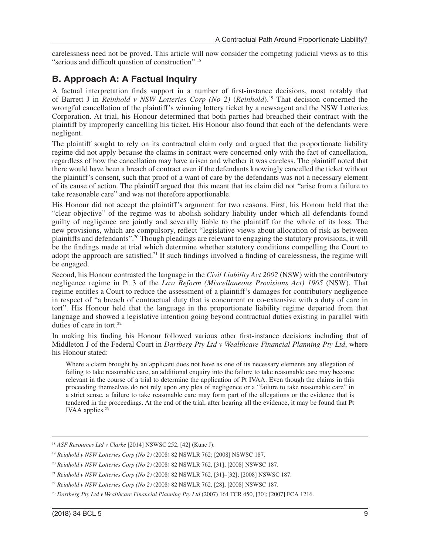carelessness need not be proved. This article will now consider the competing judicial views as to this "serious and difficult question of construction".18

## **B. Approach A: A Factual Inquiry**

A factual interpretation finds support in a number of first-instance decisions, most notably that of Barrett J in *Reinhold v NSW Lotteries Corp (No 2)* (*Reinhold*).19 That decision concerned the wrongful cancellation of the plaintiff's winning lottery ticket by a newsagent and the NSW Lotteries Corporation. At trial, his Honour determined that both parties had breached their contract with the plaintiff by improperly cancelling his ticket. His Honour also found that each of the defendants were negligent.

The plaintiff sought to rely on its contractual claim only and argued that the proportionate liability regime did not apply because the claims in contract were concerned only with the fact of cancellation, regardless of how the cancellation may have arisen and whether it was careless. The plaintiff noted that there would have been a breach of contract even if the defendants knowingly cancelled the ticket without the plaintiff's consent, such that proof of a want of care by the defendants was not a necessary element of its cause of action. The plaintiff argued that this meant that its claim did not "arise from a failure to take reasonable care" and was not therefore apportionable.

His Honour did not accept the plaintiff's argument for two reasons. First, his Honour held that the "clear objective" of the regime was to abolish solidary liability under which all defendants found guilty of negligence are jointly and severally liable to the plaintiff for the whole of its loss. The new provisions, which are compulsory, reflect "legislative views about allocation of risk as between plaintiffs and defendants".20 Though pleadings are relevant to engaging the statutory provisions, it will be the findings made at trial which determine whether statutory conditions compelling the Court to adopt the approach are satisfied.<sup>21</sup> If such findings involved a finding of carelessness, the regime will be engaged.

Second, his Honour contrasted the language in the *Civil Liability Act 2002* (NSW) with the contributory negligence regime in Pt 3 of the *Law Reform (Miscellaneous Provisions Act) 1965* (NSW). That regime entitles a Court to reduce the assessment of a plaintiff's damages for contributory negligence in respect of "a breach of contractual duty that is concurrent or co-extensive with a duty of care in tort". His Honour held that the language in the proportionate liability regime departed from that language and showed a legislative intention going beyond contractual duties existing in parallel with duties of care in tort. $22$ 

In making his finding his Honour followed various other first-instance decisions including that of Middleton J of the Federal Court in *Dartberg Pty Ltd v Wealthcare Financial Planning Pty Ltd*, where his Honour stated:

Where a claim brought by an applicant does not have as one of its necessary elements any allegation of failing to take reasonable care, an additional enquiry into the failure to take reasonable care may become relevant in the course of a trial to determine the application of Pt IVAA. Even though the claims in this proceeding themselves do not rely upon any plea of negligence or a "failure to take reasonable care" in a strict sense, a failure to take reasonable care may form part of the allegations or the evidence that is tendered in the proceedings. At the end of the trial, after hearing all the evidence, it may be found that Pt IVAA applies.<sup>23</sup>

<sup>18</sup> *ASF Resources Ltd v Clarke* [2014] NSWSC 252, [42] (Kunc J).

<sup>19</sup> *Reinhold v NSW Lotteries Corp (No 2)* (2008) 82 NSWLR 762; [2008] NSWSC 187.

<sup>20</sup> *Reinhold v NSW Lotteries Corp (No 2)* (2008) 82 NSWLR 762, [31]; [2008] NSWSC 187.

<sup>21</sup> *Reinhold v NSW Lotteries Corp (No 2)* (2008) 82 NSWLR 762, [31]–[32]; [2008] NSWSC 187.

<sup>22</sup> *Reinhold v NSW Lotteries Corp (No 2)* (2008) 82 NSWLR 762, [28]; [2008] NSWSC 187.

<sup>23</sup> *Dartberg Pty Ltd v Wealthcare Financial Planning Pty Ltd* (2007) 164 FCR 450, [30]; [2007] FCA 1216.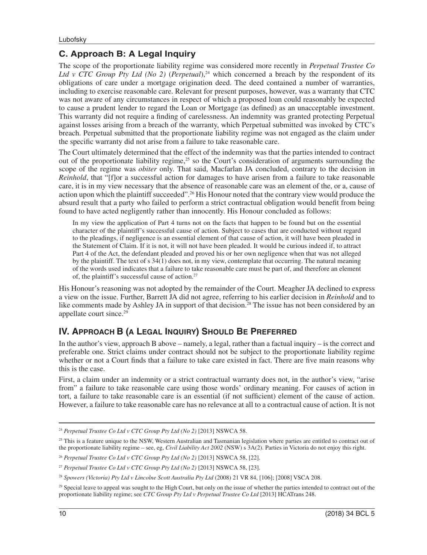# **C. Approach B: A Legal Inquiry**

The scope of the proportionate liability regime was considered more recently in *Perpetual Trustee Co Ltd v CTC Group Pty Ltd (No 2) (Perpetual)*,<sup>24</sup> which concerned a breach by the respondent of its obligations of care under a mortgage origination deed. The deed contained a number of warranties, including to exercise reasonable care. Relevant for present purposes, however, was a warranty that CTC was not aware of any circumstances in respect of which a proposed loan could reasonably be expected to cause a prudent lender to regard the Loan or Mortgage (as defined) as an unacceptable investment. This warranty did not require a finding of carelessness. An indemnity was granted protecting Perpetual against losses arising from a breach of the warranty, which Perpetual submitted was invoked by CTC's breach. Perpetual submitted that the proportionate liability regime was not engaged as the claim under the specific warranty did not arise from a failure to take reasonable care.

The Court ultimately determined that the effect of the indemnity was that the parties intended to contract out of the proportionate liability regime,25 so the Court's consideration of arguments surrounding the scope of the regime was *obiter* only. That said, Macfarlan JA concluded, contrary to the decision in *Reinhold*, that "[f]or a successful action for damages to have arisen from a failure to take reasonable care, it is in my view necessary that the absence of reasonable care was an element of the, or a, cause of action upon which the plaintiff succeeded".26 His Honour noted that the contrary view would produce the absurd result that a party who failed to perform a strict contractual obligation would benefit from being found to have acted negligently rather than innocently. His Honour concluded as follows:

In my view the application of Part 4 turns not on the facts that happen to be found but on the essential character of the plaintiff's successful cause of action. Subject to cases that are conducted without regard to the pleadings, if negligence is an essential element of that cause of action, it will have been pleaded in the Statement of Claim. If it is not, it will not have been pleaded. It would be curious indeed if, to attract Part 4 of the Act, the defendant pleaded and proved his or her own negligence when that was not alleged by the plaintiff. The text of s 34(1) does not, in my view, contemplate that occurring. The natural meaning of the words used indicates that a failure to take reasonable care must be part of, and therefore an element of, the plaintiff's successful cause of action.<sup>27</sup>

His Honour's reasoning was not adopted by the remainder of the Court. Meagher JA declined to express a view on the issue. Further, Barrett JA did not agree, referring to his earlier decision in *Reinhold* and to like comments made by Ashley JA in support of that decision.<sup>28</sup> The issue has not been considered by an appellate court since.<sup>29</sup>

# **IV. APPROACH B (A LEGAL INQUIRY) SHOULD BE PREFERRED**

In the author's view, approach B above – namely, a legal, rather than a factual inquiry – is the correct and preferable one. Strict claims under contract should not be subject to the proportionate liability regime whether or not a Court finds that a failure to take care existed in fact. There are five main reasons why this is the case.

First, a claim under an indemnity or a strict contractual warranty does not, in the author's view, "arise from" a failure to take reasonable care using those words' ordinary meaning. For causes of action in tort, a failure to take reasonable care is an essential (if not sufficient) element of the cause of action. However, a failure to take reasonable care has no relevance at all to a contractual cause of action. It is not

<sup>24</sup> *Perpetual Trustee Co Ltd v CTC Group Pty Ltd (No 2)* [2013] NSWCA 58.

<sup>&</sup>lt;sup>25</sup> This is a feature unique to the NSW, Western Australian and Tasmanian legislation where parties are entitled to contract out of the proportionate liability regime – see, eg, *Civil Liability Act 2002* (NSW) s 3A(2). Parties in Victoria do not enjoy this right.

<sup>26</sup> *Perpetual Trustee Co Ltd v CTC Group Pty Ltd (No 2)* [2013] NSWCA 58, [22].

<sup>27</sup> *Perpetual Trustee Co Ltd v CTC Group Pty Ltd (No 2)* [2013] NSWCA 58, [23].

<sup>28</sup> *Spowers (Victoria) Pty Ltd v Lincolne Scott Australia Pty Ltd* (2008) 21 VR 84, [106]; [2008] VSCA 208.

<sup>&</sup>lt;sup>29</sup> Special leave to appeal was sought to the High Court, but only on the issue of whether the parties intended to contract out of the proportionate liability regime; see *CTC Group Pty Ltd v Perpetual Trustee Co Ltd* [2013] HCATrans 248.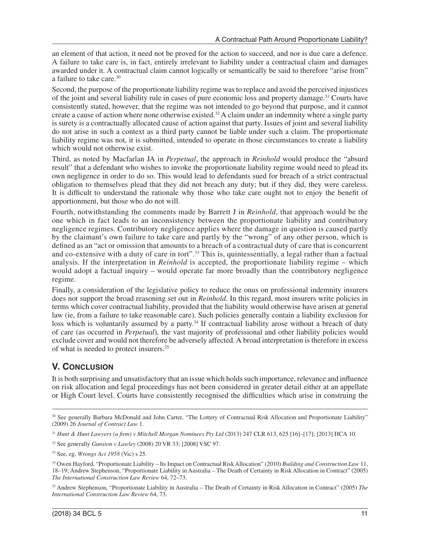an element of that action, it need not be proved for the action to succeed, and nor is due care a defence. A failure to take care is, in fact, entirely irrelevant to liability under a contractual claim and damages awarded under it. A contractual claim cannot logically or semantically be said to therefore "arise from" a failure to take care.<sup>30</sup>

Second, the purpose of the proportionate liability regime was to replace and avoid the perceived injustices of the joint and several liability rule in cases of pure economic loss and property damage.<sup>31</sup> Courts have consistently stated, however, that the regime was not intended to go beyond that purpose, and it cannot create a cause of action where none otherwise existed.<sup>32</sup> A claim under an indemnity where a single party is surety is a contractually allocated cause of action against that party. Issues of joint and several liability do not arise in such a context as a third party cannot be liable under such a claim. The proportionate liability regime was not, it is submitted, intended to operate in those circumstances to create a liability which would not otherwise exist.

Third, as noted by Macfarlan JA in *Perpetual*, the approach in *Reinhold* would produce the "absurd result" that a defendant who wishes to invoke the proportionate liability regime would need to plead its own negligence in order to do so. This would lead to defendants sued for breach of a strict contractual obligation to themselves plead that they did not breach any duty; but if they did, they were careless. It is difficult to understand the rationale why those who take care ought not to enjoy the benefit of apportionment, but those who do not will.

Fourth, notwithstanding the comments made by Barrett J in *Reinhold*, that approach would be the one which in fact leads to an inconsistency between the proportionate liability and contributory negligence regimes. Contributory negligence applies where the damage in question is caused partly by the claimant's own failure to take care and partly by the "wrong" of any other person, which is defined as an "act or omission that amounts to a breach of a contractual duty of care that is concurrent and co-extensive with a duty of care in tort".<sup>33</sup> This is, quintessentially, a legal rather than a factual analysis. If the interpretation in *Reinhold* is accepted, the proportionate liability regime – which would adopt a factual inquiry – would operate far more broadly than the contributory negligence regime.

Finally, a consideration of the legislative policy to reduce the onus on professional indemnity insurers does not support the broad reasoning set out in *Reinhold*. In this regard, most insurers write policies in terms which cover contractual liability, provided that the liability would otherwise have arisen at general law (ie, from a failure to take reasonable care). Such policies generally contain a liability exclusion for loss which is voluntarily assumed by a party.<sup>34</sup> If contractual liability arose without a breach of duty of care (as occurred in *Perpetual*), the vast majority of professional and other liability policies would exclude cover and would not therefore be adversely affected. A broad interpretation is therefore in excess of what is needed to protect insurers.35

# **V. CONCLUSION**

It is both surprising and unsatisfactory that an issue which holds such importance, relevance and influence on risk allocation and legal proceedings has not been considered in greater detail either at an appellate or High Court level. Courts have consistently recognised the difficulties which arise in construing the

<sup>&</sup>lt;sup>30</sup> See generally Barbara McDonald and John Carter, "The Lottery of Contractual Risk Allocation and Proportionate Liability" (2009) 26 *Journal of Contract Law* 1.

<sup>31</sup> *Hunt & Hunt Lawyers (a firm) v Mitchell Morgan Nominees Pty Ltd* (2013) 247 CLR 613, 625 [16]–[17]; [2013] HCA 10.

<sup>32</sup> See generally *Gunston v Lawley* (2008) 20 VR 33; [2008] VSC 97.

<sup>33</sup> See, eg, *Wrongs Act 1958* (Vic) s 25.

<sup>34</sup> Owen Hayford, "Proportionate Liability – Its Impact on Contractual Risk Allocation" (2010) *Building and Construction Law* 11, 18–19; Andrew Stephenson, "Proportionate Liability in Australia – The Death of Certainty in Risk Allocation in Contract" (2005) *The International Construction Law Review* 64, 72–73.

<sup>35</sup> Andrew Stephenson, "Proportionate Liability in Australia – The Death of Certainty in Risk Allocation in Contract" (2005) *The International Construction Law Review* 64, 73.